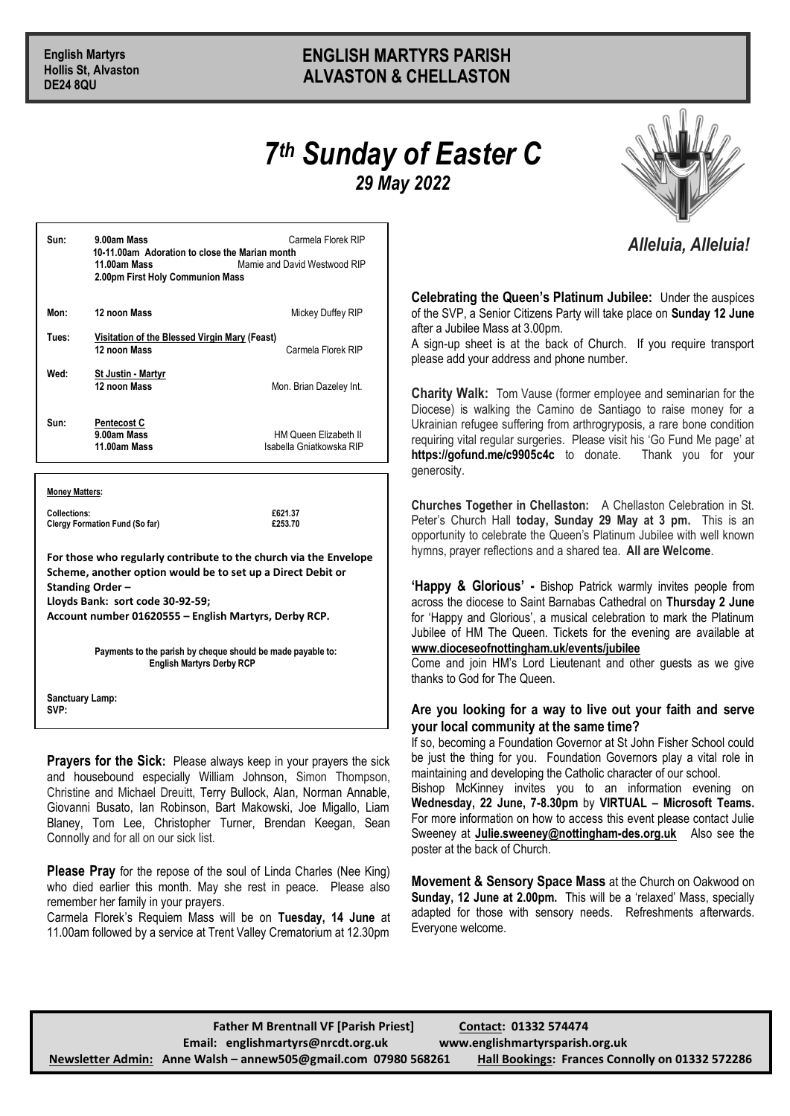## **English Martyrs ENGLISH MARTYRS PARISH Hollis St, Alvaston ALVASTON & CHELLASTON**

## *7 th Sunday of Easter C 29 May 2022*



## *Alleluia, Alleluia!*

**Celebrating the Queen's Platinum Jubilee:** Under the auspices of the SVP, a Senior Citizens Party will take place on **Sunday 12 June** after a Jubilee Mass at 3.00pm.

A sign-up sheet is at the back of Church. If you require transport please add your address and phone number.

**Charity Walk:** Tom Vause (former employee and seminarian for the Diocese) is walking the Camino de Santiago to raise money for a Ukrainian refugee suffering from arthrogryposis, a rare bone condition requiring vital regular surgeries. Please visit his 'Go Fund Me page' at **https://gofund.me/c9905c4c** to donate. Thank you for your generosity.

**Churches Together in Chellaston:** A Chellaston Celebration in St. Peter's Church Hall **today, Sunday 29 May at 3 pm.** This is an opportunity to celebrate the Queen's Platinum Jubilee with well known hymns, prayer reflections and a shared tea. **All are Welcome**.

**'Happy & Glorious' -** Bishop Patrick warmly invites people from across the diocese to Saint Barnabas Cathedral on **Thursday 2 June** for 'Happy and Glorious', a musical celebration to mark the Platinum Jubilee of HM The Queen. Tickets for the evening are available at **www.dioceseofnottingham.uk/events/jubilee**

Come and join HM's Lord Lieutenant and other guests as we give thanks to God for The Queen

## **Are you looking for a way to live out your faith and serve your local community at the same time?**

If so, becoming a Foundation Governor at St John Fisher School could be just the thing for you. Foundation Governors play a vital role in maintaining and developing the Catholic character of our school.

Bishop McKinney invites you to an information evening on **Wednesday, 22 June, 7-8.30pm** by **VIRTUAL – Microsoft Teams.**  For more information on how to access this event please contact Julie Sweeney at **[Julie.sweeney@nottingham-des.org.uk](mailto:Julie.sweeney@nottingham-des.org.uk)** Also see the poster at the back of Church.

**Movement & Sensory Space Mass** at the Church on Oakwood on **Sunday, 12 June at 2.00pm.** This will be a 'relaxed' Mass, specially adapted for those with sensory needs. Refreshments afterwards. Everyone welcome.

| Sun:  | 9.00am Mass<br>10-11.00am Adoration to close the Marian month<br>11.00am Mass<br>2.00pm First Holy Communion Mass | Carmela Florek RIP<br>Mamie and David Westwood RIP |
|-------|-------------------------------------------------------------------------------------------------------------------|----------------------------------------------------|
| Mon:  | 12 noon Mass                                                                                                      | Mickey Duffey RIP                                  |
| Tues: | Visitation of the Blessed Virgin Mary (Feast)<br>12 noon Mass                                                     | Carmela Florek RIP                                 |
| Wed:  | <b>St Justin - Martyr</b><br>12 noon Mass                                                                         | Mon. Brian Dazeley Int.                            |
| Sun:  | <b>Pentecost C</b><br>9.00am Mass<br>11.00am Mass                                                                 | HM Queen Elizabeth II<br>Isabella Gniatkowska RIP  |

**Money Matters:**

**Collections: £621.37 Clergy Formation Fund (So far) £253.70**

**For those who regularly contribute to the church via the Envelope Scheme, another option would be to set up a Direct Debit or Standing Order – Lloyds Bank: sort code 30-92-59;** 

**Account number 01620555 – English Martyrs, Derby RCP.**

**Payments to the parish by cheque should be made payable to: English Martyrs Derby RCP**

**Sanctuary Lamp: SVP:** 

**Prayers for the Sick:** Please always keep in your prayers the sick and housebound especially William Johnson, Simon Thompson, Christine and Michael Dreuitt, Terry Bullock, Alan, Norman Annable, Giovanni Busato, Ian Robinson, Bart Makowski, Joe Migallo, Liam Blaney, Tom Lee, Christopher Turner, Brendan Keegan, Sean Connolly and for all on our sick list.

**Please Pray** for the repose of the soul of Linda Charles (Nee King) who died earlier this month. May she rest in peace. Please also remember her family in your prayers.

Carmela Florek's Requiem Mass will be on **Tuesday, 14 June** at 11.00am followed by a service at Trent Valley Crematorium at 12.30pm